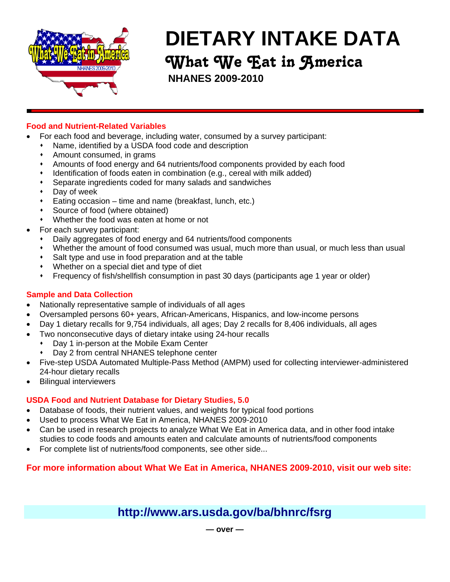

# **DIETARY INTAKE DATA** What We Eat in America

**NHANES 2009-2010**

## **Food and Nutrient-Related Variables**

- For each food and beverage, including water, consumed by a survey participant:
	- Name, identified by a USDA food code and description
	- Amount consumed, in grams
	- Amounts of food energy and 64 nutrients/food components provided by each food
	- Identification of foods eaten in combination (e.g., cereal with milk added)
	- Separate ingredients coded for many salads and sandwiches
	- Day of week
	- Eating occasion time and name (breakfast, lunch, etc.)
	- Source of food (where obtained)
	- Whether the food was eaten at home or not
- For each survey participant:
	- Daily aggregates of food energy and 64 nutrients/food components
	- Whether the amount of food consumed was usual, much more than usual, or much less than usual
	- Salt type and use in food preparation and at the table
	- Whether on a special diet and type of diet
	- Frequency of fish/shellfish consumption in past 30 days (participants age 1 year or older)

### **Sample and Data Collection**

- Nationally representative sample of individuals of all ages
- Oversampled persons 60+ years, African-Americans, Hispanics, and low-income persons
	- Day 1 dietary recalls for 9,754 individuals, all ages; Day 2 recalls for 8,406 individuals, all ages
- Two nonconsecutive days of dietary intake using 24-hour recalls
	- Day 1 in-person at the Mobile Exam Center
	- Day 2 from central NHANES telephone center
- Five-step USDA Automated Multiple-Pass Method (AMPM) used for collecting interviewer-administered 24-hour dietary recalls
- Bilingual interviewers

#### **USDA Food and Nutrient Database for Dietary Studies, 5.0**

- Database of foods, their nutrient values, and weights for typical food portions
- Used to process What We Eat in America, NHANES 2009-2010
- Can be used in research projects to analyze What We Eat in America data, and in other food intake studies to code foods and amounts eaten and calculate amounts of nutrients/food components
- For complete list of nutrients/food components, see other side...

# **For more information about What We Eat in America, NHANES 2009-2010, visit our web site:**

# **http://www.ars.usda.gov/ba/bhnrc/fsrg**

**— over —**